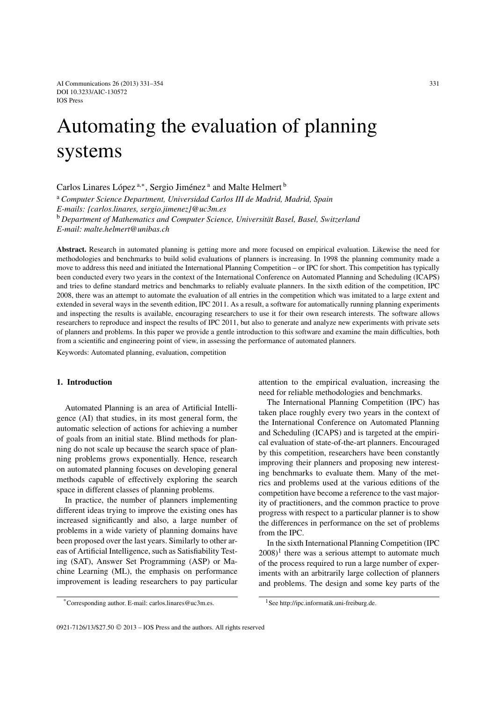# Automating the evaluation of planning systems

Carlos Linares López<sup>a,∗</sup>, Sergio Jiménez<sup>a</sup> and Malte Helmert<sup>b</sup>

<sup>a</sup> *Computer Science Department, Universidad Carlos III de Madrid, Madrid, Spain E-mails: {carlos.linares, sergio.jimenez}@uc3m.es* <sup>b</sup> *Department of Mathematics and Computer Science, Universität Basel, Basel, Switzerland E-mail: malte.helmert@unibas.ch*

**Abstract.** Research in automated planning is getting more and more focused on empirical evaluation. Likewise the need for methodologies and benchmarks to build solid evaluations of planners is increasing. In 1998 the planning community made a move to address this need and initiated the International Planning Competition – or IPC for short. This competition has typically been conducted every two years in the context of the International Conference on Automated Planning and Scheduling (ICAPS) and tries to define standard metrics and benchmarks to reliably evaluate planners. In the sixth edition of the competition, IPC 2008, there was an attempt to automate the evaluation of all entries in the competition which was imitated to a large extent and extended in several ways in the seventh edition, IPC 2011. As a result, a software for automatically running planning experiments and inspecting the results is available, encouraging researchers to use it for their own research interests. The software allows researchers to reproduce and inspect the results of IPC 2011, but also to generate and analyze new experiments with private sets of planners and problems. In this paper we provide a gentle introduction to this software and examine the main difficulties, both from a scientific and engineering point of view, in assessing the performance of automated planners.

Keywords: Automated planning, evaluation, competition

## **1. Introduction**

Automated Planning is an area of Artificial Intelligence (AI) that studies, in its most general form, the automatic selection of actions for achieving a number of goals from an initial state. Blind methods for planning do not scale up because the search space of planning problems grows exponentially. Hence, research on automated planning focuses on developing general methods capable of effectively exploring the search space in different classes of planning problems.

In practice, the number of planners implementing different ideas trying to improve the existing ones has increased significantly and also, a large number of problems in a wide variety of planning domains have been proposed over the last years. Similarly to other areas of Artificial Intelligence, such as Satisfiability Testing (SAT), Answer Set Programming (ASP) or Machine Learning (ML), the emphasis on performance improvement is leading researchers to pay particular attention to the empirical evaluation, increasing the need for reliable methodologies and benchmarks.

The International Planning Competition (IPC) has taken place roughly every two years in the context of the International Conference on Automated Planning and Scheduling (ICAPS) and is targeted at the empirical evaluation of state-of-the-art planners. Encouraged by this competition, researchers have been constantly improving their planners and proposing new interesting benchmarks to evaluate them. Many of the metrics and problems used at the various editions of the competition have become a reference to the vast majority of practitioners, and the common practice to prove progress with respect to a particular planner is to show the differences in performance on the set of problems from the IPC.

In the sixth International Planning Competition (IPC  $2008$ <sup>1</sup> there was a serious attempt to automate much of the process required to run a large number of experiments with an arbitrarily large collection of planners and problems. The design and some key parts of the

1See http://ipc.informatik.uni-freiburg.de.

<sup>\*</sup>Corresponding author. E-mail: carlos.linares@uc3m.es.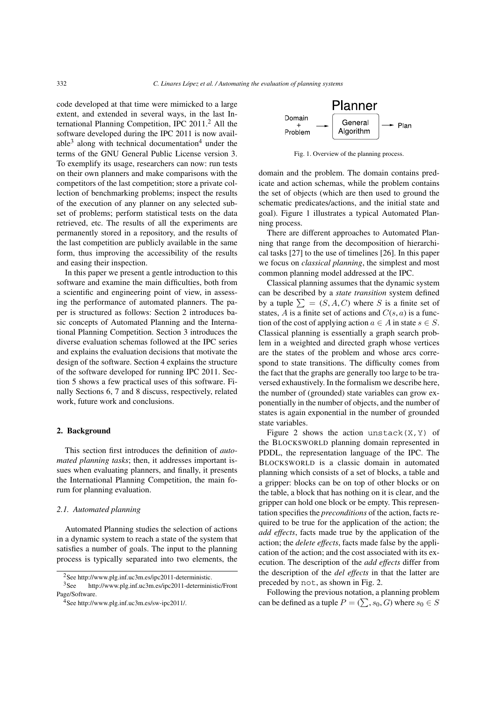code developed at that time were mimicked to a large extent, and extended in several ways, in the last International Planning Competition, IPC 2011.2 All the software developed during the IPC 2011 is now available<sup>3</sup> along with technical documentation<sup>4</sup> under the terms of the GNU General Public License version 3. To exemplify its usage, researchers can now: run tests on their own planners and make comparisons with the competitors of the last competition; store a private collection of benchmarking problems; inspect the results of the execution of any planner on any selected subset of problems; perform statistical tests on the data retrieved, etc. The results of all the experiments are permanently stored in a repository, and the results of the last competition are publicly available in the same form, thus improving the accessibility of the results and easing their inspection.

In this paper we present a gentle introduction to this software and examine the main difficulties, both from a scientific and engineering point of view, in assessing the performance of automated planners. The paper is structured as follows: Section 2 introduces basic concepts of Automated Planning and the International Planning Competition. Section 3 introduces the diverse evaluation schemas followed at the IPC series and explains the evaluation decisions that motivate the design of the software. Section 4 explains the structure of the software developed for running IPC 2011. Section 5 shows a few practical uses of this software. Finally Sections 6, 7 and 8 discuss, respectively, related work, future work and conclusions.

#### **2. Background**

This section first introduces the definition of *automated planning tasks*; then, it addresses important issues when evaluating planners, and finally, it presents the International Planning Competition, the main forum for planning evaluation.

# *2.1. Automated planning*

Automated Planning studies the selection of actions in a dynamic system to reach a state of the system that satisfies a number of goals. The input to the planning process is typically separated into two elements, the



Fig. 1. Overview of the planning process.

domain and the problem. The domain contains predicate and action schemas, while the problem contains the set of objects (which are then used to ground the schematic predicates/actions, and the initial state and goal). Figure 1 illustrates a typical Automated Planning process.

There are different approaches to Automated Planning that range from the decomposition of hierarchical tasks [27] to the use of timelines [26]. In this paper we focus on *classical planning*, the simplest and most common planning model addressed at the IPC.

Classical planning assumes that the dynamic system can be described by a *state transition* system defined by a tuple  $\sum = (S, A, C)$  where S is a finite set of states, A is a finite set of actions and  $C(s, a)$  is a function of the cost of applying action  $a \in A$  in state  $s \in S$ . Classical planning is essentially a graph search problem in a weighted and directed graph whose vertices are the states of the problem and whose arcs correspond to state transitions. The difficulty comes from the fact that the graphs are generally too large to be traversed exhaustively. In the formalism we describe here, the number of (grounded) state variables can grow exponentially in the number of objects, and the number of states is again exponential in the number of grounded state variables.

Figure 2 shows the action unstack $(X, Y)$  of the BLOCKSWORLD planning domain represented in PDDL, the representation language of the IPC. The BLOCKSWORLD is a classic domain in automated planning which consists of a set of blocks, a table and a gripper: blocks can be on top of other blocks or on the table, a block that has nothing on it is clear, and the gripper can hold one block or be empty. This representation specifies the *preconditions* of the action, facts required to be true for the application of the action; the *add effects*, facts made true by the application of the action; the *delete effects*, facts made false by the application of the action; and the cost associated with its execution. The description of the *add effects* differ from the description of the *del effects* in that the latter are preceded by not, as shown in Fig. 2.

Following the previous notation, a planning problem can be defined as a tuple  $P = (\sum, s_0, G)$  where  $s_0 \in S$ 

<sup>2</sup>See http://www.plg.inf.uc3m.es/ipc2011-deterministic.

<sup>3</sup>See http://www.plg.inf.uc3m.es/ipc2011-deterministic/Front Page/Software.

<sup>4</sup>See http://www.plg.inf.uc3m.es/sw-ipc2011/.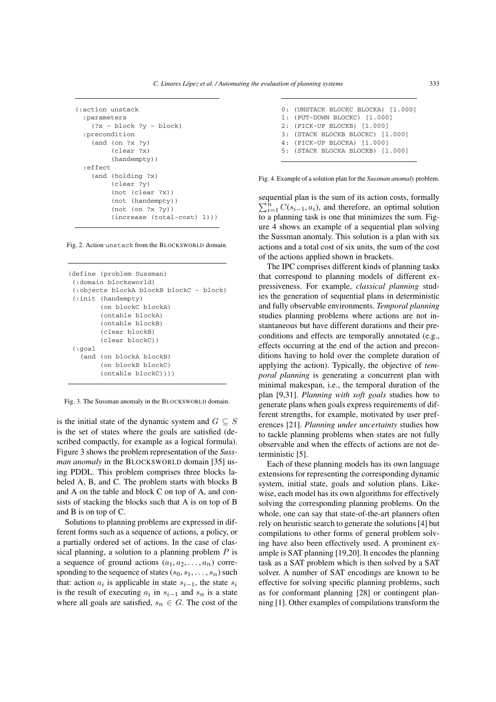```
(:action unstack
:parameters
   (?x - block ?y - block)
:precondition
  (and (on ?x ?y)
        (clear ?x)
        (handempty))
:effect
   (and (holding ?x)
        (clear ?y)
        (not (clear ?x))
        (not (handempty))
        (not (on ?x ?y))
        (increase (total-cost) 1)))
```
Fig. 2. Action unstack from the BLOCKSWORLD domain.

```
(define (problem Sussman)
(:domain blocksworld)
(:objects blockA blockB blockC - block)
(:init (handempty)
       (on blockC blockA)
       (ontable blockA)
       (ontable blockB)
       (clear blockB)
       (clear blockC))
(:\alphaoal
  (and (on blockA blockB)
       (on blockB blockC)
       (ontable blockC))))
```
Fig. 3. The Sussman anomaly in the BLOCKSWORLD domain.

is the initial state of the dynamic system and  $G \subseteq S$ is the set of states where the goals are satisfied (described compactly, for example as a logical formula). Figure 3 shows the problem representation of the *Sussman anomaly* in the BLOCKSWORLD domain [35] using PDDL. This problem comprises three blocks labeled A, B, and C. The problem starts with blocks B and A on the table and block C on top of A, and consists of stacking the blocks such that A is on top of B and B is on top of C.

Solutions to planning problems are expressed in different forms such as a sequence of actions, a policy, or a partially ordered set of actions. In the case of classical planning, a solution to a planning problem  $P$  is a sequence of ground actions  $(a_1, a_2, \ldots, a_n)$  corresponding to the sequence of states  $(s_0, s_1, \ldots, s_n)$  such that: action  $a_i$  is applicable in state  $s_{i-1}$ , the state  $s_i$ is the result of executing  $a_i$  in  $s_{i-1}$  and  $s_n$  is a state where all goals are satisfied,  $s_n \in G$ . The cost of the 0: (UNSTACK BLOCKC BLOCKA) [1.000] 1: (PUT-DOWN BLOCKC) [1.000] 2: (PICK-UP BLOCKB) [1.000] 3: (STACK BLOCKB BLOCKC) [1.000] 4: (PICK-UP BLOCKA) [1.000] 5: (STACK BLOCKA BLOCKB) [1.000]

|  | Fig. 4. Example of a solution plan for the Sussman anomaly problem. |  |
|--|---------------------------------------------------------------------|--|
|  |                                                                     |  |

sequential plan is the sum of its action costs, formally  $\sum_{i=1}^{n} C(s_{i-1}, a_i)$ , and therefore, an optimal solution to a planning task is one that minimizes the sum. Figure 4 shows an example of a sequential plan solving the Sussman anomaly. This solution is a plan with six actions and a total cost of six units, the sum of the cost of the actions applied shown in brackets.

The IPC comprises different kinds of planning tasks that correspond to planning models of different expressiveness. For example, *classical planning* studies the generation of sequential plans in deterministic and fully observable environments. *Temporal planning* studies planning problems where actions are not instantaneous but have different durations and their preconditions and effects are temporally annotated (e.g., effects occurring at the end of the action and preconditions having to hold over the complete duration of applying the action). Typically, the objective of *temporal planning* is generating a concurrent plan with minimal makespan, i.e., the temporal duration of the plan [9,31]. *Planning with soft goals* studies how to generate plans when goals express requirements of different strengths, for example, motivated by user preferences [21]. *Planning under uncertainty* studies how to tackle planning problems when states are not fully observable and when the effects of actions are not deterministic [5].

Each of these planning models has its own language extensions for representing the corresponding dynamic system, initial state, goals and solution plans. Likewise, each model has its own algorithms for effectively solving the corresponding planning problems. On the whole, one can say that state-of-the-art planners often rely on heuristic search to generate the solutions [4] but compilations to other forms of general problem solving have also been effectively used. A prominent example is SAT planning [19,20]. It encodes the planning task as a SAT problem which is then solved by a SAT solver. A number of SAT encodings are known to be effective for solving specific planning problems, such as for conformant planning [28] or contingent planning [1]. Other examples of compilations transform the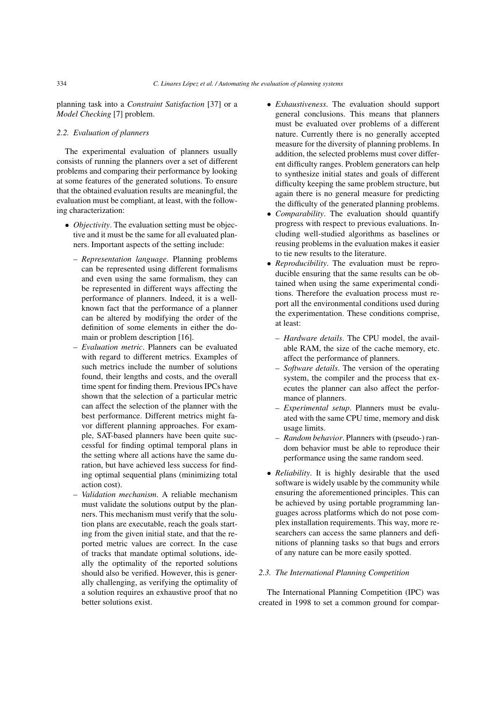planning task into a *Constraint Satisfaction* [37] or a *Model Checking* [7] problem.

## *2.2. Evaluation of planners*

The experimental evaluation of planners usually consists of running the planners over a set of different problems and comparing their performance by looking at some features of the generated solutions. To ensure that the obtained evaluation results are meaningful, the evaluation must be compliant, at least, with the following characterization:

- *Objectivity*. The evaluation setting must be objective and it must be the same for all evaluated planners. Important aspects of the setting include:
	- *Representation language*. Planning problems can be represented using different formalisms and even using the same formalism, they can be represented in different ways affecting the performance of planners. Indeed, it is a wellknown fact that the performance of a planner can be altered by modifying the order of the definition of some elements in either the domain or problem description [16].
	- *Evaluation metric*. Planners can be evaluated with regard to different metrics. Examples of such metrics include the number of solutions found, their lengths and costs, and the overall time spent for finding them. Previous IPCs have shown that the selection of a particular metric can affect the selection of the planner with the best performance. Different metrics might favor different planning approaches. For example, SAT-based planners have been quite successful for finding optimal temporal plans in the setting where all actions have the same duration, but have achieved less success for finding optimal sequential plans (minimizing total action cost).
	- *Validation mechanism*. A reliable mechanism must validate the solutions output by the planners. This mechanism must verify that the solution plans are executable, reach the goals starting from the given initial state, and that the reported metric values are correct. In the case of tracks that mandate optimal solutions, ideally the optimality of the reported solutions should also be verified. However, this is generally challenging, as verifying the optimality of a solution requires an exhaustive proof that no better solutions exist.
- *Exhaustiveness*. The evaluation should support general conclusions. This means that planners must be evaluated over problems of a different nature. Currently there is no generally accepted measure for the diversity of planning problems. In addition, the selected problems must cover different difficulty ranges. Problem generators can help to synthesize initial states and goals of different difficulty keeping the same problem structure, but again there is no general measure for predicting the difficulty of the generated planning problems.
- *Comparability*. The evaluation should quantify progress with respect to previous evaluations. Including well-studied algorithms as baselines or reusing problems in the evaluation makes it easier to tie new results to the literature.
- *Reproducibility*. The evaluation must be reproducible ensuring that the same results can be obtained when using the same experimental conditions. Therefore the evaluation process must report all the environmental conditions used during the experimentation. These conditions comprise, at least:
	- *Hardware details*. The CPU model, the available RAM, the size of the cache memory, etc. affect the performance of planners.
	- *Software details*. The version of the operating system, the compiler and the process that executes the planner can also affect the performance of planners.
	- *Experimental setup*. Planners must be evaluated with the same CPU time, memory and disk usage limits.
	- *Random behavior*. Planners with (pseudo-) random behavior must be able to reproduce their performance using the same random seed.
- *Reliability*. It is highly desirable that the used software is widely usable by the community while ensuring the aforementioned principles. This can be achieved by using portable programming languages across platforms which do not pose complex installation requirements. This way, more researchers can access the same planners and definitions of planning tasks so that bugs and errors of any nature can be more easily spotted.

#### *2.3. The International Planning Competition*

The International Planning Competition (IPC) was created in 1998 to set a common ground for compar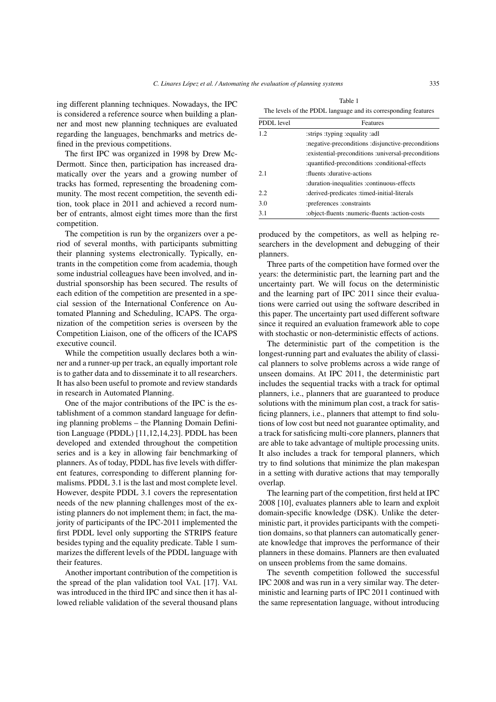ing different planning techniques. Nowadays, the IPC is considered a reference source when building a planner and most new planning techniques are evaluated regarding the languages, benchmarks and metrics defined in the previous competitions.

The first IPC was organized in 1998 by Drew Mc-Dermott. Since then, participation has increased dramatically over the years and a growing number of tracks has formed, representing the broadening community. The most recent competition, the seventh edition, took place in 2011 and achieved a record number of entrants, almost eight times more than the first competition.

The competition is run by the organizers over a period of several months, with participants submitting their planning systems electronically. Typically, entrants in the competition come from academia, though some industrial colleagues have been involved, and industrial sponsorship has been secured. The results of each edition of the competition are presented in a special session of the International Conference on Automated Planning and Scheduling, ICAPS. The organization of the competition series is overseen by the Competition Liaison, one of the officers of the ICAPS executive council.

While the competition usually declares both a winner and a runner-up per track, an equally important role is to gather data and to disseminate it to all researchers. It has also been useful to promote and review standards in research in Automated Planning.

One of the major contributions of the IPC is the establishment of a common standard language for defining planning problems – the Planning Domain Definition Language (PDDL) [11,12,14,23]. PDDL has been developed and extended throughout the competition series and is a key in allowing fair benchmarking of planners. As of today, PDDL has five levels with different features, corresponding to different planning formalisms. PDDL 3.1 is the last and most complete level. However, despite PDDL 3.1 covers the representation needs of the new planning challenges most of the existing planners do not implement them; in fact, the majority of participants of the IPC-2011 implemented the first PDDL level only supporting the STRIPS feature besides typing and the equality predicate. Table 1 summarizes the different levels of the PDDL language with their features.

Another important contribution of the competition is the spread of the plan validation tool VAL [17]. VAL was introduced in the third IPC and since then it has allowed reliable validation of the several thousand plans

| ٠ |  |
|---|--|
|---|--|

The levels of the PDDL language and its corresponding features

| PDDL level | Features                                            |  |
|------------|-----------------------------------------------------|--|
| 1.2        | :strips:typing:equality:adl                         |  |
|            | :negative-preconditions :disjunctive-preconditions  |  |
|            | :existential-preconditions :universal-preconditions |  |
|            | :quantified-preconditions :conditional-effects      |  |
| 2.1        | :fluents :durative-actions                          |  |
|            | :duration-inequalities :continuous-effects          |  |
| 2.2.       | :derived-predicates :timed-initial-literals         |  |
| 3.0        | :preferences :constraints                           |  |
| 3.1        | :object-fluents :numeric-fluents :action-costs      |  |

produced by the competitors, as well as helping researchers in the development and debugging of their planners.

Three parts of the competition have formed over the years: the deterministic part, the learning part and the uncertainty part. We will focus on the deterministic and the learning part of IPC 2011 since their evaluations were carried out using the software described in this paper. The uncertainty part used different software since it required an evaluation framework able to cope with stochastic or non-deterministic effects of actions.

The deterministic part of the competition is the longest-running part and evaluates the ability of classical planners to solve problems across a wide range of unseen domains. At IPC 2011, the deterministic part includes the sequential tracks with a track for optimal planners, i.e., planners that are guaranteed to produce solutions with the minimum plan cost, a track for satisficing planners, i.e., planners that attempt to find solutions of low cost but need not guarantee optimality, and a track for satisficing multi-core planners, planners that are able to take advantage of multiple processing units. It also includes a track for temporal planners, which try to find solutions that minimize the plan makespan in a setting with durative actions that may temporally overlap.

The learning part of the competition, first held at IPC 2008 [10], evaluates planners able to learn and exploit domain-specific knowledge (DSK). Unlike the deterministic part, it provides participants with the competition domains, so that planners can automatically generate knowledge that improves the performance of their planners in these domains. Planners are then evaluated on unseen problems from the same domains.

The seventh competition followed the successful IPC 2008 and was run in a very similar way. The deterministic and learning parts of IPC 2011 continued with the same representation language, without introducing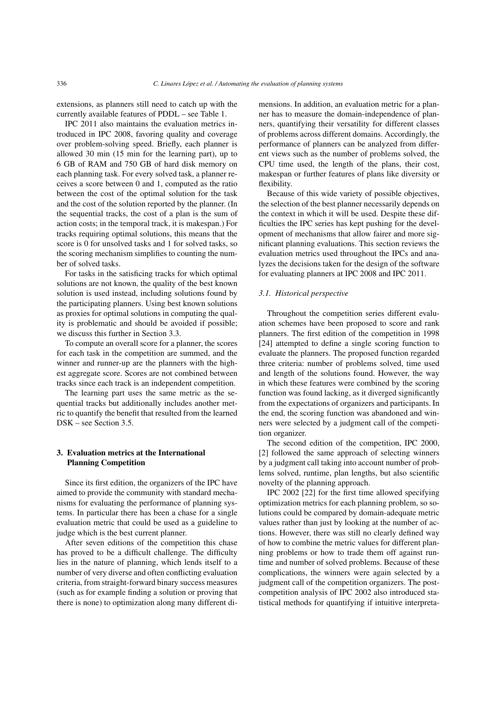extensions, as planners still need to catch up with the currently available features of PDDL – see Table 1.

IPC 2011 also maintains the evaluation metrics introduced in IPC 2008, favoring quality and coverage over problem-solving speed. Briefly, each planner is allowed 30 min (15 min for the learning part), up to 6 GB of RAM and 750 GB of hard disk memory on each planning task. For every solved task, a planner receives a score between 0 and 1, computed as the ratio between the cost of the optimal solution for the task and the cost of the solution reported by the planner. (In the sequential tracks, the cost of a plan is the sum of action costs; in the temporal track, it is makespan.) For tracks requiring optimal solutions, this means that the score is 0 for unsolved tasks and 1 for solved tasks, so the scoring mechanism simplifies to counting the number of solved tasks.

For tasks in the satisficing tracks for which optimal solutions are not known, the quality of the best known solution is used instead, including solutions found by the participating planners. Using best known solutions as proxies for optimal solutions in computing the quality is problematic and should be avoided if possible; we discuss this further in Section 3.3.

To compute an overall score for a planner, the scores for each task in the competition are summed, and the winner and runner-up are the planners with the highest aggregate score. Scores are not combined between tracks since each track is an independent competition.

The learning part uses the same metric as the sequential tracks but additionally includes another metric to quantify the benefit that resulted from the learned DSK – see Section 3.5.

# **3. Evaluation metrics at the International Planning Competition**

Since its first edition, the organizers of the IPC have aimed to provide the community with standard mechanisms for evaluating the performance of planning systems. In particular there has been a chase for a single evaluation metric that could be used as a guideline to judge which is the best current planner.

After seven editions of the competition this chase has proved to be a difficult challenge. The difficulty lies in the nature of planning, which lends itself to a number of very diverse and often conflicting evaluation criteria, from straight-forward binary success measures (such as for example finding a solution or proving that there is none) to optimization along many different dimensions. In addition, an evaluation metric for a planner has to measure the domain-independence of planners, quantifying their versatility for different classes of problems across different domains. Accordingly, the performance of planners can be analyzed from different views such as the number of problems solved, the CPU time used, the length of the plans, their cost, makespan or further features of plans like diversity or flexibility.

Because of this wide variety of possible objectives, the selection of the best planner necessarily depends on the context in which it will be used. Despite these difficulties the IPC series has kept pushing for the development of mechanisms that allow fairer and more significant planning evaluations. This section reviews the evaluation metrics used throughout the IPCs and analyzes the decisions taken for the design of the software for evaluating planners at IPC 2008 and IPC 2011.

#### *3.1. Historical perspective*

Throughout the competition series different evaluation schemes have been proposed to score and rank planners. The first edition of the competition in 1998 [24] attempted to define a single scoring function to evaluate the planners. The proposed function regarded three criteria: number of problems solved, time used and length of the solutions found. However, the way in which these features were combined by the scoring function was found lacking, as it diverged significantly from the expectations of organizers and participants. In the end, the scoring function was abandoned and winners were selected by a judgment call of the competition organizer.

The second edition of the competition, IPC 2000, [2] followed the same approach of selecting winners by a judgment call taking into account number of problems solved, runtime, plan lengths, but also scientific novelty of the planning approach.

IPC 2002 [22] for the first time allowed specifying optimization metrics for each planning problem, so solutions could be compared by domain-adequate metric values rather than just by looking at the number of actions. However, there was still no clearly defined way of how to combine the metric values for different planning problems or how to trade them off against runtime and number of solved problems. Because of these complications, the winners were again selected by a judgment call of the competition organizers. The postcompetition analysis of IPC 2002 also introduced statistical methods for quantifying if intuitive interpreta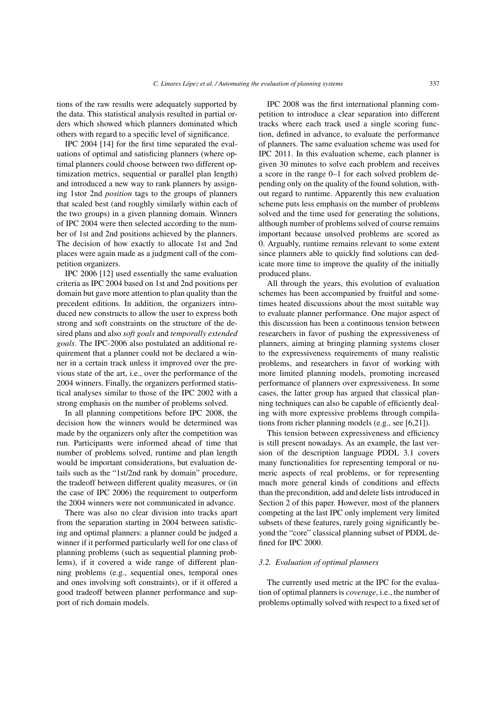tions of the raw results were adequately supported by the data. This statistical analysis resulted in partial orders which showed which planners dominated which others with regard to a specific level of significance.

IPC 2004 [14] for the first time separated the evaluations of optimal and satisficing planners (where optimal planners could choose between two different optimization metrics, sequential or parallel plan length) and introduced a new way to rank planners by assigning 1stor 2nd *position* tags to the groups of planners that scaled best (and roughly similarly within each of the two groups) in a given planning domain. Winners of IPC 2004 were then selected according to the number of 1st and 2nd positions achieved by the planners. The decision of how exactly to allocate 1st and 2nd places were again made as a judgment call of the competition organizers.

IPC 2006 [12] used essentially the same evaluation criteria as IPC 2004 based on 1st and 2nd positions per domain but gave more attention to plan quality than the precedent editions. In addition, the organizers introduced new constructs to allow the user to express both strong and soft constraints on the structure of the desired plans and also *soft goals* and *temporally extended goals*. The IPC-2006 also postulated an additional requirement that a planner could not be declared a winner in a certain track unless it improved over the previous state of the art, i.e., over the performance of the 2004 winners. Finally, the organizers performed statistical analyses similar to those of the IPC 2002 with a strong emphasis on the number of problems solved.

In all planning competitions before IPC 2008, the decision how the winners would be determined was made by the organizers only after the competition was run. Participants were informed ahead of time that number of problems solved, runtime and plan length would be important considerations, but evaluation details such as the "1st/2nd rank by domain" procedure, the tradeoff between different quality measures, or (in the case of IPC 2006) the requirement to outperform the 2004 winners were not communicated in advance.

There was also no clear division into tracks apart from the separation starting in 2004 between satisficing and optimal planners: a planner could be judged a winner if it performed particularly well for one class of planning problems (such as sequential planning problems), if it covered a wide range of different planning problems (e.g., sequential ones, temporal ones and ones involving soft constraints), or if it offered a good tradeoff between planner performance and support of rich domain models.

IPC 2008 was the first international planning competition to introduce a clear separation into different tracks where each track used a single scoring function, defined in advance, to evaluate the performance of planners. The same evaluation scheme was used for IPC 2011. In this evaluation scheme, each planner is given 30 minutes to solve each problem and receives a score in the range 0–1 for each solved problem depending only on the quality of the found solution, without regard to runtime. Apparently this new evaluation scheme puts less emphasis on the number of problems solved and the time used for generating the solutions, although number of problems solved of course remains important because unsolved problems are scored as 0. Arguably, runtime remains relevant to some extent since planners able to quickly find solutions can dedicate more time to improve the quality of the initially produced plans.

All through the years, this evolution of evaluation schemes has been accompanied by fruitful and sometimes heated discussions about the most suitable way to evaluate planner performance. One major aspect of this discussion has been a continuous tension between researchers in favor of pushing the expressiveness of planners, aiming at bringing planning systems closer to the expressiveness requirements of many realistic problems, and researchers in favor of working with more limited planning models, promoting increased performance of planners over expressiveness. In some cases, the latter group has argued that classical planning techniques can also be capable of efficiently dealing with more expressive problems through compilations from richer planning models (e.g., see [6,21]).

This tension between expressiveness and efficiency is still present nowadays. As an example, the last version of the description language PDDL 3.1 covers many functionalities for representing temporal or numeric aspects of real problems, or for representing much more general kinds of conditions and effects than the precondition, add and delete lists introduced in Section 2 of this paper. However, most of the planners competing at the last IPC only implement very limited subsets of these features, rarely going significantly beyond the "core" classical planning subset of PDDL defined for IPC 2000.

#### *3.2. Evaluation of optimal planners*

The currently used metric at the IPC for the evaluation of optimal planners is *coverage*, i.e., the number of problems optimally solved with respect to a fixed set of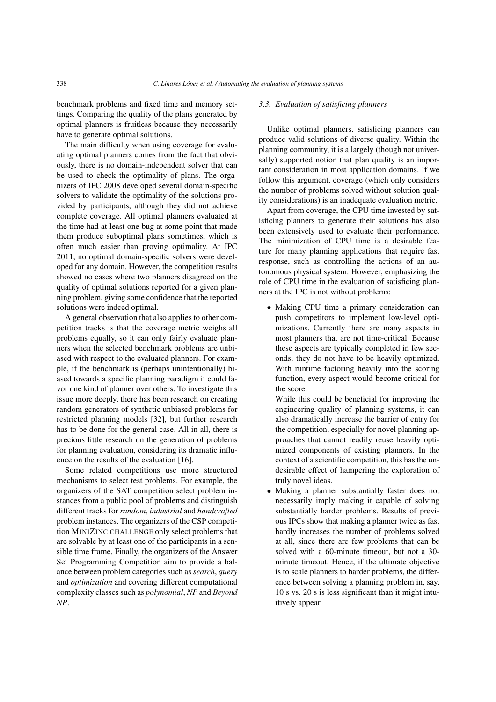benchmark problems and fixed time and memory settings. Comparing the quality of the plans generated by optimal planners is fruitless because they necessarily have to generate optimal solutions.

The main difficulty when using coverage for evaluating optimal planners comes from the fact that obviously, there is no domain-independent solver that can be used to check the optimality of plans. The organizers of IPC 2008 developed several domain-specific solvers to validate the optimality of the solutions provided by participants, although they did not achieve complete coverage. All optimal planners evaluated at the time had at least one bug at some point that made them produce suboptimal plans sometimes, which is often much easier than proving optimality. At IPC 2011, no optimal domain-specific solvers were developed for any domain. However, the competition results showed no cases where two planners disagreed on the quality of optimal solutions reported for a given planning problem, giving some confidence that the reported solutions were indeed optimal.

A general observation that also applies to other competition tracks is that the coverage metric weighs all problems equally, so it can only fairly evaluate planners when the selected benchmark problems are unbiased with respect to the evaluated planners. For example, if the benchmark is (perhaps unintentionally) biased towards a specific planning paradigm it could favor one kind of planner over others. To investigate this issue more deeply, there has been research on creating random generators of synthetic unbiased problems for restricted planning models [32], but further research has to be done for the general case. All in all, there is precious little research on the generation of problems for planning evaluation, considering its dramatic influence on the results of the evaluation [16].

Some related competitions use more structured mechanisms to select test problems. For example, the organizers of the SAT competition select problem instances from a public pool of problems and distinguish different tracks for *random*, *industrial* and *handcrafted* problem instances. The organizers of the CSP competition MINIZINC CHALLENGE only select problems that are solvable by at least one of the participants in a sensible time frame. Finally, the organizers of the Answer Set Programming Competition aim to provide a balance between problem categories such as *search*, *query* and *optimization* and covering different computational complexity classes such as *polynomial*, *NP* and *Beyond NP*.

# *3.3. Evaluation of satisficing planners*

Unlike optimal planners, satisficing planners can produce valid solutions of diverse quality. Within the planning community, it is a largely (though not universally) supported notion that plan quality is an important consideration in most application domains. If we follow this argument, coverage (which only considers the number of problems solved without solution quality considerations) is an inadequate evaluation metric.

Apart from coverage, the CPU time invested by satisficing planners to generate their solutions has also been extensively used to evaluate their performance. The minimization of CPU time is a desirable feature for many planning applications that require fast response, such as controlling the actions of an autonomous physical system. However, emphasizing the role of CPU time in the evaluation of satisficing planners at the IPC is not without problems:

• Making CPU time a primary consideration can push competitors to implement low-level optimizations. Currently there are many aspects in most planners that are not time-critical. Because these aspects are typically completed in few seconds, they do not have to be heavily optimized. With runtime factoring heavily into the scoring function, every aspect would become critical for the score.

While this could be beneficial for improving the engineering quality of planning systems, it can also dramatically increase the barrier of entry for the competition, especially for novel planning approaches that cannot readily reuse heavily optimized components of existing planners. In the context of a scientific competition, this has the undesirable effect of hampering the exploration of truly novel ideas.

• Making a planner substantially faster does not necessarily imply making it capable of solving substantially harder problems. Results of previous IPCs show that making a planner twice as fast hardly increases the number of problems solved at all, since there are few problems that can be solved with a 60-minute timeout, but not a 30 minute timeout. Hence, if the ultimate objective is to scale planners to harder problems, the difference between solving a planning problem in, say, 10 s vs. 20 s is less significant than it might intuitively appear.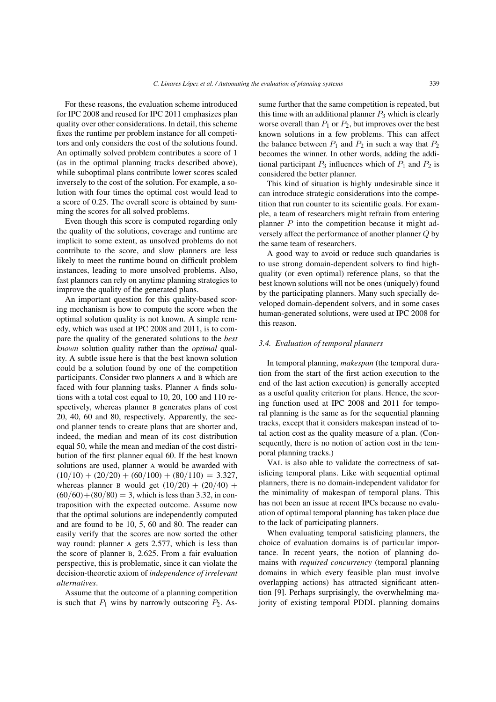For these reasons, the evaluation scheme introduced for IPC 2008 and reused for IPC 2011 emphasizes plan quality over other considerations. In detail, this scheme fixes the runtime per problem instance for all competitors and only considers the cost of the solutions found. An optimally solved problem contributes a score of 1 (as in the optimal planning tracks described above), while suboptimal plans contribute lower scores scaled inversely to the cost of the solution. For example, a solution with four times the optimal cost would lead to a score of 0.25. The overall score is obtained by summing the scores for all solved problems.

Even though this score is computed regarding only the quality of the solutions, coverage and runtime are implicit to some extent, as unsolved problems do not contribute to the score, and slow planners are less likely to meet the runtime bound on difficult problem instances, leading to more unsolved problems. Also, fast planners can rely on anytime planning strategies to improve the quality of the generated plans.

An important question for this quality-based scoring mechanism is how to compute the score when the optimal solution quality is not known. A simple remedy, which was used at IPC 2008 and 2011, is to compare the quality of the generated solutions to the *best known* solution quality rather than the *optimal* quality. A subtle issue here is that the best known solution could be a solution found by one of the competition participants. Consider two planners A and B which are faced with four planning tasks. Planner A finds solutions with a total cost equal to 10, 20, 100 and 110 respectively, whereas planner B generates plans of cost 20, 40, 60 and 80, respectively. Apparently, the second planner tends to create plans that are shorter and, indeed, the median and mean of its cost distribution equal 50, while the mean and median of the cost distribution of the first planner equal 60. If the best known solutions are used, planner A would be awarded with  $(10/10) + (20/20) + (60/100) + (80/110) = 3.327,$ whereas planner B would get  $(10/20) + (20/40) +$  $(60/60) + (80/80) = 3$ , which is less than 3.32, in contraposition with the expected outcome. Assume now that the optimal solutions are independently computed and are found to be 10, 5, 60 and 80. The reader can easily verify that the scores are now sorted the other way round: planner A gets 2.577, which is less than the score of planner B, 2.625. From a fair evaluation perspective, this is problematic, since it can violate the decision-theoretic axiom of *independence of irrelevant alternatives*.

Assume that the outcome of a planning competition is such that  $P_1$  wins by narrowly outscoring  $P_2$ . Assume further that the same competition is repeated, but this time with an additional planner  $P_3$  which is clearly worse overall than  $P_1$  or  $P_2$ , but improves over the best known solutions in a few problems. This can affect the balance between  $P_1$  and  $P_2$  in such a way that  $P_2$ becomes the winner. In other words, adding the additional participant  $P_3$  influences which of  $P_1$  and  $P_2$  is considered the better planner.

This kind of situation is highly undesirable since it can introduce strategic considerations into the competition that run counter to its scientific goals. For example, a team of researchers might refrain from entering planner  $P$  into the competition because it might adversely affect the performance of another planner Q by the same team of researchers.

A good way to avoid or reduce such quandaries is to use strong domain-dependent solvers to find highquality (or even optimal) reference plans, so that the best known solutions will not be ones (uniquely) found by the participating planners. Many such specially developed domain-dependent solvers, and in some cases human-generated solutions, were used at IPC 2008 for this reason.

## *3.4. Evaluation of temporal planners*

In temporal planning, *makespan* (the temporal duration from the start of the first action execution to the end of the last action execution) is generally accepted as a useful quality criterion for plans. Hence, the scoring function used at IPC 2008 and 2011 for temporal planning is the same as for the sequential planning tracks, except that it considers makespan instead of total action cost as the quality measure of a plan. (Consequently, there is no notion of action cost in the temporal planning tracks.)

VAL is also able to validate the correctness of satisficing temporal plans. Like with sequential optimal planners, there is no domain-independent validator for the minimality of makespan of temporal plans. This has not been an issue at recent IPCs because no evaluation of optimal temporal planning has taken place due to the lack of participating planners.

When evaluating temporal satisficing planners, the choice of evaluation domains is of particular importance. In recent years, the notion of planning domains with *required concurrency* (temporal planning domains in which every feasible plan must involve overlapping actions) has attracted significant attention [9]. Perhaps surprisingly, the overwhelming majority of existing temporal PDDL planning domains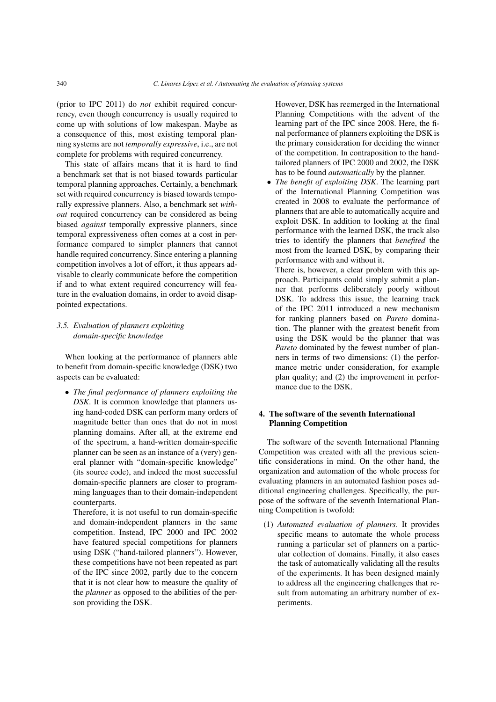(prior to IPC 2011) do *not* exhibit required concurrency, even though concurrency is usually required to come up with solutions of low makespan. Maybe as a consequence of this, most existing temporal planning systems are not *temporally expressive*, i.e., are not complete for problems with required concurrency.

This state of affairs means that it is hard to find a benchmark set that is not biased towards particular temporal planning approaches. Certainly, a benchmark set with required concurrency is biased towards temporally expressive planners. Also, a benchmark set *without* required concurrency can be considered as being biased *against* temporally expressive planners, since temporal expressiveness often comes at a cost in performance compared to simpler planners that cannot handle required concurrency. Since entering a planning competition involves a lot of effort, it thus appears advisable to clearly communicate before the competition if and to what extent required concurrency will feature in the evaluation domains, in order to avoid disappointed expectations.

# *3.5. Evaluation of planners exploiting domain-specific knowledge*

When looking at the performance of planners able to benefit from domain-specific knowledge (DSK) two aspects can be evaluated:

• *The final performance of planners exploiting the DSK*. It is common knowledge that planners using hand-coded DSK can perform many orders of magnitude better than ones that do not in most planning domains. After all, at the extreme end of the spectrum, a hand-written domain-specific planner can be seen as an instance of a (very) general planner with "domain-specific knowledge" (its source code), and indeed the most successful domain-specific planners are closer to programming languages than to their domain-independent counterparts.

Therefore, it is not useful to run domain-specific and domain-independent planners in the same competition. Instead, IPC 2000 and IPC 2002 have featured special competitions for planners using DSK ("hand-tailored planners"). However, these competitions have not been repeated as part of the IPC since 2002, partly due to the concern that it is not clear how to measure the quality of the *planner* as opposed to the abilities of the person providing the DSK.

However, DSK has reemerged in the International Planning Competitions with the advent of the learning part of the IPC since 2008. Here, the final performance of planners exploiting the DSK is the primary consideration for deciding the winner of the competition. In contraposition to the handtailored planners of IPC 2000 and 2002, the DSK has to be found *automatically* by the planner.

• *The benefit of exploiting DSK*. The learning part of the International Planning Competition was created in 2008 to evaluate the performance of planners that are able to automatically acquire and exploit DSK. In addition to looking at the final performance with the learned DSK, the track also tries to identify the planners that *benefited* the most from the learned DSK, by comparing their performance with and without it.

There is, however, a clear problem with this approach. Participants could simply submit a planner that performs deliberately poorly without DSK. To address this issue, the learning track of the IPC 2011 introduced a new mechanism for ranking planners based on *Pareto* domination. The planner with the greatest benefit from using the DSK would be the planner that was *Pareto* dominated by the fewest number of planners in terms of two dimensions: (1) the performance metric under consideration, for example plan quality; and (2) the improvement in performance due to the DSK.

# **4. The software of the seventh International Planning Competition**

The software of the seventh International Planning Competition was created with all the previous scientific considerations in mind. On the other hand, the organization and automation of the whole process for evaluating planners in an automated fashion poses additional engineering challenges. Specifically, the purpose of the software of the seventh International Planning Competition is twofold:

(1) *Automated evaluation of planners*. It provides specific means to automate the whole process running a particular set of planners on a particular collection of domains. Finally, it also eases the task of automatically validating all the results of the experiments. It has been designed mainly to address all the engineering challenges that result from automating an arbitrary number of experiments.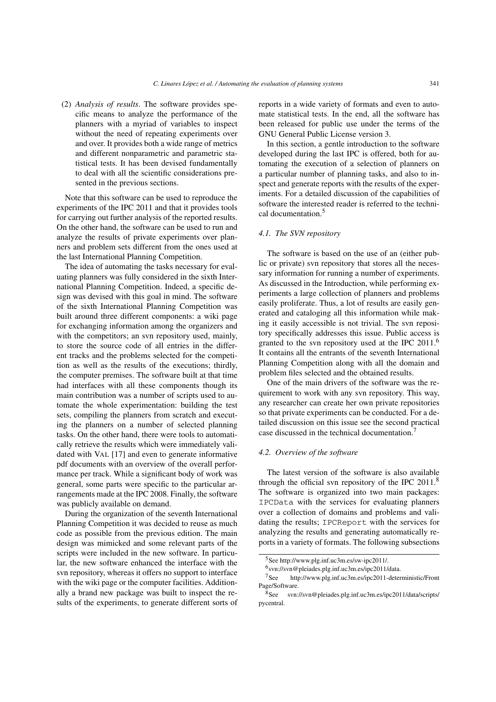(2) *Analysis of results*. The software provides specific means to analyze the performance of the planners with a myriad of variables to inspect without the need of repeating experiments over and over. It provides both a wide range of metrics and different nonparametric and parametric statistical tests. It has been devised fundamentally to deal with all the scientific considerations presented in the previous sections.

Note that this software can be used to reproduce the experiments of the IPC 2011 and that it provides tools for carrying out further analysis of the reported results. On the other hand, the software can be used to run and analyze the results of private experiments over planners and problem sets different from the ones used at the last International Planning Competition.

The idea of automating the tasks necessary for evaluating planners was fully considered in the sixth International Planning Competition. Indeed, a specific design was devised with this goal in mind. The software of the sixth International Planning Competition was built around three different components: a wiki page for exchanging information among the organizers and with the competitors; an svn repository used, mainly, to store the source code of all entries in the different tracks and the problems selected for the competition as well as the results of the executions; thirdly, the computer premises. The software built at that time had interfaces with all these components though its main contribution was a number of scripts used to automate the whole experimentation: building the test sets, compiling the planners from scratch and executing the planners on a number of selected planning tasks. On the other hand, there were tools to automatically retrieve the results which were immediately validated with VAL [17] and even to generate informative pdf documents with an overview of the overall performance per track. While a significant body of work was general, some parts were specific to the particular arrangements made at the IPC 2008. Finally, the software was publicly available on demand.

During the organization of the seventh International Planning Competition it was decided to reuse as much code as possible from the previous edition. The main design was mimicked and some relevant parts of the scripts were included in the new software. In particular, the new software enhanced the interface with the svn repository, whereas it offers no support to interface with the wiki page or the computer facilities. Additionally a brand new package was built to inspect the results of the experiments, to generate different sorts of reports in a wide variety of formats and even to automate statistical tests. In the end, all the software has been released for public use under the terms of the GNU General Public License version 3.

In this section, a gentle introduction to the software developed during the last IPC is offered, both for automating the execution of a selection of planners on a particular number of planning tasks, and also to inspect and generate reports with the results of the experiments. For a detailed discussion of the capabilities of software the interested reader is referred to the technical documentation.5

## *4.1. The SVN repository*

The software is based on the use of an (either public or private) svn repository that stores all the necessary information for running a number of experiments. As discussed in the Introduction, while performing experiments a large collection of planners and problems easily proliferate. Thus, a lot of results are easily generated and cataloging all this information while making it easily accessible is not trivial. The svn repository specifically addresses this issue. Public access is granted to the svn repository used at the IPC 2011.6 It contains all the entrants of the seventh International Planning Competition along with all the domain and problem files selected and the obtained results.

One of the main drivers of the software was the requirement to work with any svn repository. This way, any researcher can create her own private repositories so that private experiments can be conducted. For a detailed discussion on this issue see the second practical case discussed in the technical documentation.7

#### *4.2. Overview of the software*

The latest version of the software is also available through the official svn repository of the IPC  $2011$ .<sup>8</sup> The software is organized into two main packages: IPCData with the services for evaluating planners over a collection of domains and problems and validating the results; IPCReport with the services for analyzing the results and generating automatically reports in a variety of formats. The following subsections

<sup>5</sup>See http://www.plg.inf.uc3m.es/sw-ipc2011/.

<sup>6</sup>svn://svn@pleiades.plg.inf.uc3m.es/ipc2011/data. http://www.plg.inf.uc3m.es/ipc2011-deterministic/Front Page/Software.

<sup>8</sup>See svn://svn@pleiades.plg.inf.uc3m.es/ipc2011/data/scripts/ pycentral.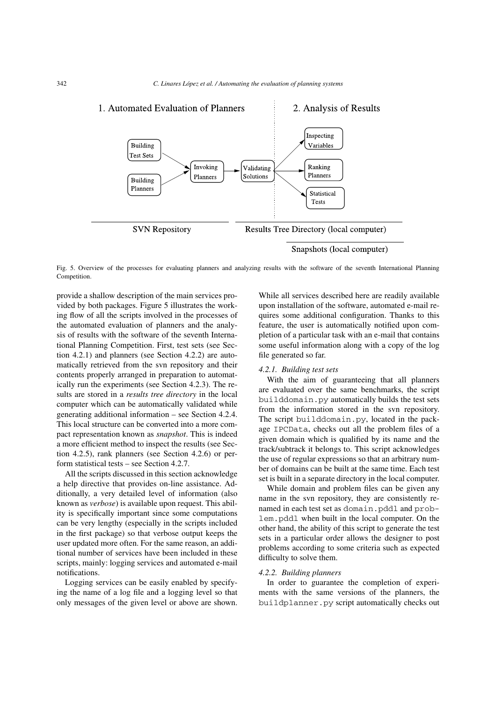

Fig. 5. Overview of the processes for evaluating planners and analyzing results with the software of the seventh International Planning Competition.

provide a shallow description of the main services provided by both packages. Figure 5 illustrates the working flow of all the scripts involved in the processes of the automated evaluation of planners and the analysis of results with the software of the seventh International Planning Competition. First, test sets (see Section 4.2.1) and planners (see Section 4.2.2) are automatically retrieved from the svn repository and their contents properly arranged in preparation to automatically run the experiments (see Section 4.2.3). The results are stored in a *results tree directory* in the local computer which can be automatically validated while generating additional information – see Section 4.2.4. This local structure can be converted into a more compact representation known as *snapshot*. This is indeed a more efficient method to inspect the results (see Section 4.2.5), rank planners (see Section 4.2.6) or perform statistical tests – see Section 4.2.7.

All the scripts discussed in this section acknowledge a help directive that provides on-line assistance. Additionally, a very detailed level of information (also known as *verbose*) is available upon request. This ability is specifically important since some computations can be very lengthy (especially in the scripts included in the first package) so that verbose output keeps the user updated more often. For the same reason, an additional number of services have been included in these scripts, mainly: logging services and automated e-mail notifications.

Logging services can be easily enabled by specifying the name of a log file and a logging level so that only messages of the given level or above are shown.

While all services described here are readily available upon installation of the software, automated e-mail requires some additional configuration. Thanks to this feature, the user is automatically notified upon completion of a particular task with an e-mail that contains some useful information along with a copy of the log file generated so far.

## *4.2.1. Building test sets*

With the aim of guaranteeing that all planners are evaluated over the same benchmarks, the script builddomain.py automatically builds the test sets from the information stored in the svn repository. The script builddomain.py, located in the package IPCData, checks out all the problem files of a given domain which is qualified by its name and the track/subtrack it belongs to. This script acknowledges the use of regular expressions so that an arbitrary number of domains can be built at the same time. Each test set is built in a separate directory in the local computer.

While domain and problem files can be given any name in the svn repository, they are consistently renamed in each test set as domain.pddl and problem.pddl when built in the local computer. On the other hand, the ability of this script to generate the test sets in a particular order allows the designer to post problems according to some criteria such as expected difficulty to solve them.

#### *4.2.2. Building planners*

In order to guarantee the completion of experiments with the same versions of the planners, the buildplanner.py script automatically checks out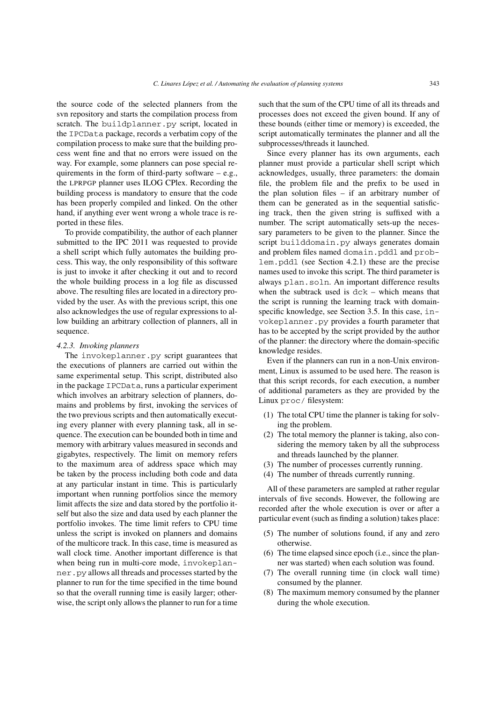the source code of the selected planners from the svn repository and starts the compilation process from scratch. The buildplanner.py script, located in the IPCData package, records a verbatim copy of the compilation process to make sure that the building process went fine and that no errors were issued on the way. For example, some planners can pose special requirements in the form of third-party software  $-$  e.g., the LPRPGP planner uses ILOG CPlex. Recording the building process is mandatory to ensure that the code has been properly compiled and linked. On the other hand, if anything ever went wrong a whole trace is reported in these files.

To provide compatibility, the author of each planner submitted to the IPC 2011 was requested to provide a shell script which fully automates the building process. This way, the only responsibility of this software is just to invoke it after checking it out and to record the whole building process in a log file as discussed above. The resulting files are located in a directory provided by the user. As with the previous script, this one also acknowledges the use of regular expressions to allow building an arbitrary collection of planners, all in sequence.

#### *4.2.3. Invoking planners*

The invokeplanner.py script guarantees that the executions of planners are carried out within the same experimental setup. This script, distributed also in the package IPCData, runs a particular experiment which involves an arbitrary selection of planners, domains and problems by first, invoking the services of the two previous scripts and then automatically executing every planner with every planning task, all in sequence. The execution can be bounded both in time and memory with arbitrary values measured in seconds and gigabytes, respectively. The limit on memory refers to the maximum area of address space which may be taken by the process including both code and data at any particular instant in time. This is particularly important when running portfolios since the memory limit affects the size and data stored by the portfolio itself but also the size and data used by each planner the portfolio invokes. The time limit refers to CPU time unless the script is invoked on planners and domains of the multicore track. In this case, time is measured as wall clock time. Another important difference is that when being run in multi-core mode, invokeplanner.py allows all threads and processes started by the planner to run for the time specified in the time bound so that the overall running time is easily larger; otherwise, the script only allows the planner to run for a time such that the sum of the CPU time of all its threads and processes does not exceed the given bound. If any of these bounds (either time or memory) is exceeded, the script automatically terminates the planner and all the subprocesses/threads it launched.

Since every planner has its own arguments, each planner must provide a particular shell script which acknowledges, usually, three parameters: the domain file, the problem file and the prefix to be used in the plan solution files – if an arbitrary number of them can be generated as in the sequential satisficing track, then the given string is suffixed with a number. The script automatically sets-up the necessary parameters to be given to the planner. Since the script builddomain.py always generates domain and problem files named domain.pddl and problem.pddl (see Section 4.2.1) these are the precise names used to invoke this script. The third parameter is always plan.soln. An important difference results when the subtrack used is  $dck$  – which means that the script is running the learning track with domainspecific knowledge, see Section 3.5. In this case, invokeplanner.py provides a fourth parameter that has to be accepted by the script provided by the author of the planner: the directory where the domain-specific knowledge resides.

Even if the planners can run in a non-Unix environment, Linux is assumed to be used here. The reason is that this script records, for each execution, a number of additional parameters as they are provided by the Linux proc/ filesystem:

- (1) The total CPU time the planner is taking for solving the problem.
- (2) The total memory the planner is taking, also considering the memory taken by all the subprocess and threads launched by the planner.
- (3) The number of processes currently running.
- (4) The number of threads currently running.

All of these parameters are sampled at rather regular intervals of five seconds. However, the following are recorded after the whole execution is over or after a particular event (such as finding a solution) takes place:

- (5) The number of solutions found, if any and zero otherwise.
- (6) The time elapsed since epoch (i.e., since the planner was started) when each solution was found.
- (7) The overall running time (in clock wall time) consumed by the planner.
- (8) The maximum memory consumed by the planner during the whole execution.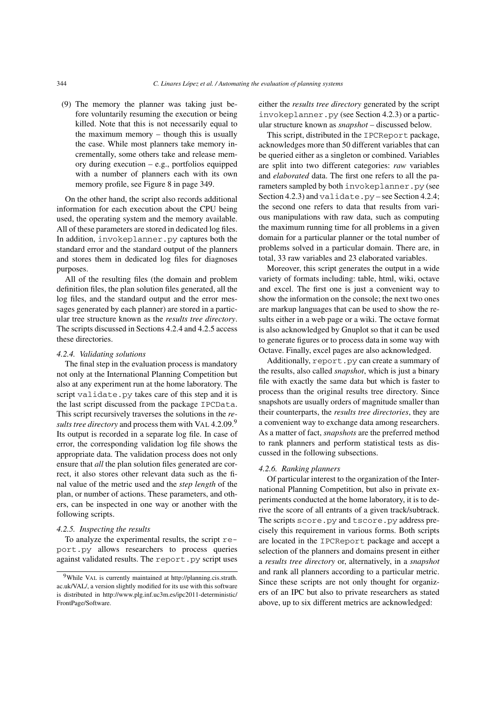(9) The memory the planner was taking just before voluntarily resuming the execution or being killed. Note that this is not necessarily equal to the maximum memory – though this is usually the case. While most planners take memory incrementally, some others take and release memory during execution – e.g., portfolios equipped with a number of planners each with its own memory profile, see Figure 8 in page 349.

On the other hand, the script also records additional information for each execution about the CPU being used, the operating system and the memory available. All of these parameters are stored in dedicated log files. In addition, invokeplanner.py captures both the standard error and the standard output of the planners and stores them in dedicated log files for diagnoses purposes.

All of the resulting files (the domain and problem definition files, the plan solution files generated, all the log files, and the standard output and the error messages generated by each planner) are stored in a particular tree structure known as the *results tree directory*. The scripts discussed in Sections 4.2.4 and 4.2.5 access these directories.

#### *4.2.4. Validating solutions*

The final step in the evaluation process is mandatory not only at the International Planning Competition but also at any experiment run at the home laboratory. The script validate.py takes care of this step and it is the last script discussed from the package IPCData. This script recursively traverses the solutions in the *results tree directory* and process them with VAL 4.2.09.<sup>9</sup> Its output is recorded in a separate log file. In case of error, the corresponding validation log file shows the appropriate data. The validation process does not only ensure that *all* the plan solution files generated are correct, it also stores other relevant data such as the final value of the metric used and the *step length* of the plan, or number of actions. These parameters, and others, can be inspected in one way or another with the following scripts.

## *4.2.5. Inspecting the results*

To analyze the experimental results, the script report.py allows researchers to process queries against validated results. The report.py script uses either the *results tree directory* generated by the script invokeplanner.py (see Section 4.2.3) or a particular structure known as *snapshot* – discussed below.

This script, distributed in the IPCReport package, acknowledges more than 50 different variables that can be queried either as a singleton or combined. Variables are split into two different categories: *raw* variables and *elaborated* data. The first one refers to all the parameters sampled by both invokeplanner.py (see Section 4.2.3) and validate.py – see Section 4.2.4; the second one refers to data that results from various manipulations with raw data, such as computing the maximum running time for all problems in a given domain for a particular planner or the total number of problems solved in a particular domain. There are, in total, 33 raw variables and 23 elaborated variables.

Moreover, this script generates the output in a wide variety of formats including: table, html, wiki, octave and excel. The first one is just a convenient way to show the information on the console; the next two ones are markup languages that can be used to show the results either in a web page or a wiki. The octave format is also acknowledged by Gnuplot so that it can be used to generate figures or to process data in some way with Octave. Finally, excel pages are also acknowledged.

Additionally, report.py can create a summary of the results, also called *snapshot*, which is just a binary file with exactly the same data but which is faster to process than the original results tree directory. Since snapshots are usually orders of magnitude smaller than their counterparts, the *results tree directories*, they are a convenient way to exchange data among researchers. As a matter of fact, *snapshots* are the preferred method to rank planners and perform statistical tests as discussed in the following subsections.

# *4.2.6. Ranking planners*

Of particular interest to the organization of the International Planning Competition, but also in private experiments conducted at the home laboratory, it is to derive the score of all entrants of a given track/subtrack. The scripts score.py and tscore.py address precisely this requirement in various forms. Both scripts are located in the IPCReport package and accept a selection of the planners and domains present in either a *results tree directory* or, alternatively, in a *snapshot* and rank all planners according to a particular metric. Since these scripts are not only thought for organizers of an IPC but also to private researchers as stated above, up to six different metrics are acknowledged:

<sup>9</sup>While VAL is currently maintained at http://planning.cis.strath. ac.uk/VAL/, a version slightly modified for its use with this software is distributed in http://www.plg.inf.uc3m.es/ipc2011-deterministic/ FrontPage/Software.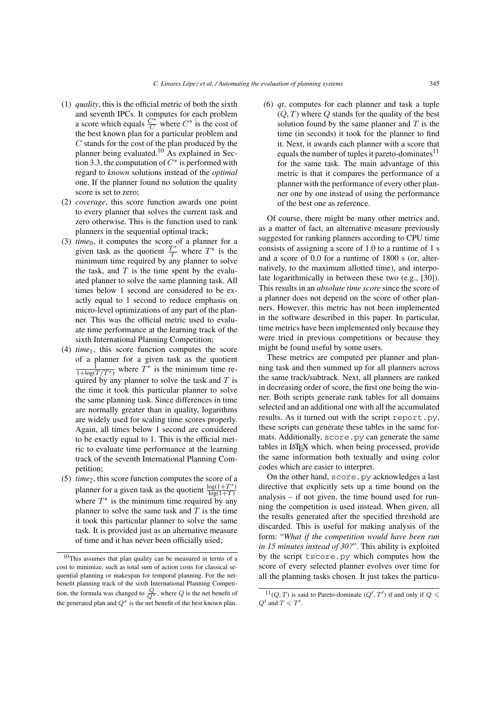- (1) *quality*, this is the official metric of both the sixth and seventh IPCs. It computes for each problem a score which equals  $\frac{C^*}{C}$  where  $C^*$  is the cost of the best known plan for a particular problem and  $C$  stands for the cost of the plan produced by the planner being evaluated.<sup>10</sup> As explained in Section 3.3, the computation of  $C^*$  is performed with regard to *known* solutions instead of the *optimal* one. If the planner found no solution the quality score is set to zero;
- (2) *coverage*, this score function awards one point to every planner that solves the current task and zero otherwise. This is the function used to rank planners in the sequential optimal track;
- (3)  $time_0$ , it computes the score of a planner for a given task as the quotient  $\frac{T^*}{T}$  where  $T^*$  is the minimum time required by any planner to solve the task, and  $T$  is the time spent by the evaluated planner to solve the same planning task. All times below 1 second are considered to be exactly equal to 1 second to reduce emphasis on micro-level optimizations of any part of the planner. This was the official metric used to evaluate time performance at the learning track of the sixth International Planning Competition;
- (4) *time*1, this score function computes the score of a planner for a given task as the quotient  $\frac{1}{1+\log(T/T^*)}$  where  $T^*$  is the minimum time required by any planner to solve the task and  $T$  is the time it took this particular planner to solve the same planning task. Since differences in time are normally greater than in quality, logarithms are widely used for scaling time scores properly. Again, all times below 1 second are considered to be exactly equal to 1. This is the official metric to evaluate time performance at the learning track of the seventh International Planning Competition;
- (5) *time*2, this score function computes the score of a planner for a given task as the quotient  $\frac{\log(1+T^*)}{\log(1+T)}$ where  $T^*$  is the minimum time required by any planner to solve the same task and  $T$  is the time it took this particular planner to solve the same task. It is provided just as an alternative measure of time and it has never been officially used;

(6) *qt*, computes for each planner and task a tuple  $(Q, T)$  where  $Q$  stands for the quality of the best solution found by the same planner and  $T$  is the time (in seconds) it took for the planner to find it. Next, it awards each planner with a score that equals the number of tuples it pareto-dominates<sup>11</sup> for the same task. The main advantage of this metric is that it compares the performance of a planner with the performance of every other planner one by one instead of using the performance of the best one as reference.

Of course, there might be many other metrics and, as a matter of fact, an alternative measure previously suggested for ranking planners according to CPU time consists of assigning a score of 1.0 to a runtime of 1 s and a score of 0.0 for a runtime of 1800 s (or, alternatively, to the maximum allotted time), and interpolate logarithmically in between these two (e.g., [30]). This results in an *absolute time score* since the score of a planner does not depend on the score of other planners. However, this metric has not been implemented in the software described in this paper. In particular, time metrics have been implemented only because they were tried in previous competitions or because they might be found useful by some users.

These metrics are computed per planner and planning task and then summed up for all planners across the same track/subtrack. Next, all planners are ranked in decreasing order of score, the first one being the winner. Both scripts generate rank tables for all domains selected and an additional one with all the accumulated results. As it turned out with the script report.py, these scripts can generate these tables in the same formats. Additionally, score.py can generate the same tables in LATEX which, when being processed, provide the same information both textually and using color codes which are easier to interpret.

On the other hand, score.py acknowledges a last directive that explicitly sets up a time bound on the analysis – if not given, the time bound used for running the competition is used instead. When given, all the results generated after the specified threshold are discarded. This is useful for making analysis of the form: "*What if the competition would have been run in 15 minutes instead of 30?*". This ability is exploited by the script tscore.py which computes how the score of every selected planner evolves over time for all the planning tasks chosen. It just takes the particu-

<sup>10</sup>This assumes that plan quality can be measured in terms of a cost to minimize, such as total sum of action costs for classical sequential planning or makespan for temporal planning. For the netbenefit planning track of the sixth International Planning Competition, the formula was changed to  $\frac{Q}{Q^*}$ , where Q is the net benefit of the generated plan and  $Q^*$  is the net benefit of the best known plan.

 $11(Q, T)$  is said to Pareto-dominate  $(Q', T')$  if and only if  $Q \leq$  $Q'$  and  $T \leqslant T'$ .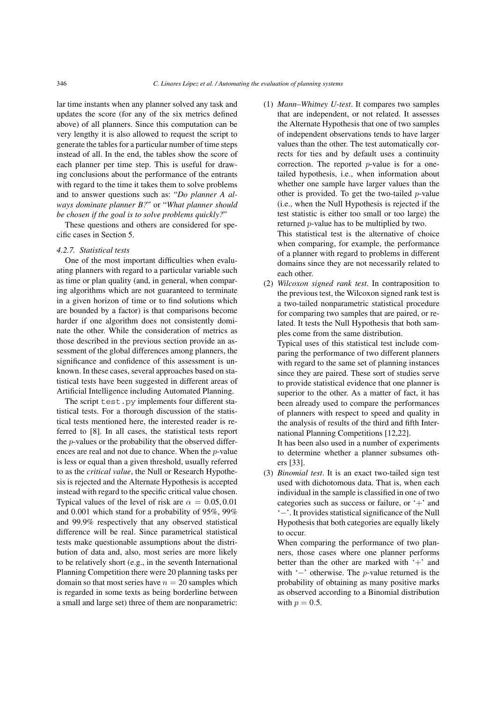lar time instants when any planner solved any task and updates the score (for any of the six metrics defined above) of all planners. Since this computation can be very lengthy it is also allowed to request the script to generate the tables for a particular number of time steps instead of all. In the end, the tables show the score of each planner per time step. This is useful for drawing conclusions about the performance of the entrants with regard to the time it takes them to solve problems and to answer questions such as: "*Do planner A always dominate planner B?*" or "*What planner should be chosen if the goal is to solve problems quickly?*"

These questions and others are considered for specific cases in Section 5.

# *4.2.7. Statistical tests*

One of the most important difficulties when evaluating planners with regard to a particular variable such as time or plan quality (and, in general, when comparing algorithms which are not guaranteed to terminate in a given horizon of time or to find solutions which are bounded by a factor) is that comparisons become harder if one algorithm does not consistently dominate the other. While the consideration of metrics as those described in the previous section provide an assessment of the global differences among planners, the significance and confidence of this assessment is unknown. In these cases, several approaches based on statistical tests have been suggested in different areas of Artificial Intelligence including Automated Planning.

The script test.py implements four different statistical tests. For a thorough discussion of the statistical tests mentioned here, the interested reader is referred to [8]. In all cases, the statistical tests report the p-values or the probability that the observed differences are real and not due to chance. When the p-value is less or equal than a given threshold, usually referred to as the *critical value*, the Null or Research Hypothesis is rejected and the Alternate Hypothesis is accepted instead with regard to the specific critical value chosen. Typical values of the level of risk are  $\alpha = 0.05, 0.01$ and 0.001 which stand for a probability of 95%, 99% and 99.9% respectively that any observed statistical difference will be real. Since parametrical statistical tests make questionable assumptions about the distribution of data and, also, most series are more likely to be relatively short (e.g., in the seventh International Planning Competition there were 20 planning tasks per domain so that most series have  $n = 20$  samples which is regarded in some texts as being borderline between a small and large set) three of them are nonparametric:

- (1) *Mann–Whitney U-test*. It compares two samples that are independent, or not related. It assesses the Alternate Hypothesis that one of two samples of independent observations tends to have larger values than the other. The test automatically corrects for ties and by default uses a continuity correction. The reported  $p$ -value is for a onetailed hypothesis, i.e., when information about whether one sample have larger values than the other is provided. To get the two-tailed  $p$ -value (i.e., when the Null Hypothesis is rejected if the test statistic is either too small or too large) the returned p-value has to be multiplied by two. This statistical test is the alternative of choice when comparing, for example, the performance of a planner with regard to problems in different domains since they are not necessarily related to each other.
- (2) *Wilcoxon signed rank test*. In contraposition to the previous test, the Wilcoxon signed rank test is a two-tailed nonparametric statistical procedure for comparing two samples that are paired, or related. It tests the Null Hypothesis that both samples come from the same distribution.

Typical uses of this statistical test include comparing the performance of two different planners with regard to the same set of planning instances since they are paired. These sort of studies serve to provide statistical evidence that one planner is superior to the other. As a matter of fact, it has been already used to compare the performances of planners with respect to speed and quality in the analysis of results of the third and fifth International Planning Competitions [12,22].

It has been also used in a number of experiments to determine whether a planner subsumes others [33].

(3) *Binomial test*. It is an exact two-tailed sign test used with dichotomous data. That is, when each individual in the sample is classified in one of two categories such as success or failure, or  $+$  and '−'. It provides statistical significance of the Null Hypothesis that both categories are equally likely to occur.

When comparing the performance of two planners, those cases where one planner performs better than the other are marked with  $+$  and with '−' otherwise. The p-value returned is the probability of obtaining as many positive marks as observed according to a Binomial distribution with  $p = 0.5$ .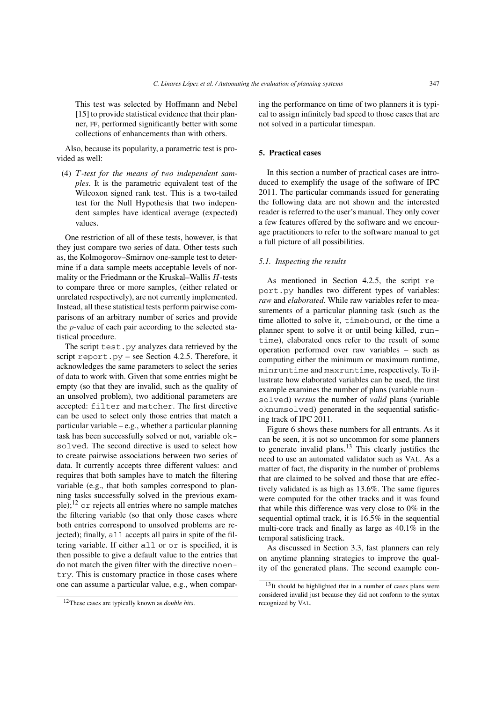This test was selected by Hoffmann and Nebel [15] to provide statistical evidence that their planner, FF, performed significantly better with some collections of enhancements than with others.

Also, because its popularity, a parametric test is provided as well:

(4) T*-test for the means of two independent samples*. It is the parametric equivalent test of the Wilcoxon signed rank test. This is a two-tailed test for the Null Hypothesis that two independent samples have identical average (expected) values.

One restriction of all of these tests, however, is that they just compare two series of data. Other tests such as, the Kolmogorov–Smirnov one-sample test to determine if a data sample meets acceptable levels of normality or the Friedmann or the Kruskal–Wallis H-tests to compare three or more samples, (either related or unrelated respectively), are not currently implemented. Instead, all these statistical tests perform pairwise comparisons of an arbitrary number of series and provide the p-value of each pair according to the selected statistical procedure.

The script test.py analyzes data retrieved by the script report.py – see Section 4.2.5. Therefore, it acknowledges the same parameters to select the series of data to work with. Given that some entries might be empty (so that they are invalid, such as the quality of an unsolved problem), two additional parameters are accepted: filter and matcher. The first directive can be used to select only those entries that match a particular variable – e.g., whether a particular planning task has been successfully solved or not, variable oksolved. The second directive is used to select how to create pairwise associations between two series of data. It currently accepts three different values: and requires that both samples have to match the filtering variable (e.g., that both samples correspond to planning tasks successfully solved in the previous example);<sup>12</sup> or rejects all entries where no sample matches the filtering variable (so that only those cases where both entries correspond to unsolved problems are rejected); finally, all accepts all pairs in spite of the filtering variable. If either all or or is specified, it is then possible to give a default value to the entries that do not match the given filter with the directive noentry. This is customary practice in those cases where one can assume a particular value, e.g., when comparing the performance on time of two planners it is typical to assign infinitely bad speed to those cases that are not solved in a particular timespan.

# **5. Practical cases**

In this section a number of practical cases are introduced to exemplify the usage of the software of IPC 2011. The particular commands issued for generating the following data are not shown and the interested reader is referred to the user's manual. They only cover a few features offered by the software and we encourage practitioners to refer to the software manual to get a full picture of all possibilities.

## *5.1. Inspecting the results*

As mentioned in Section 4.2.5, the script report.py handles two different types of variables: *raw* and *elaborated*. While raw variables refer to measurements of a particular planning task (such as the time allotted to solve it, timebound, or the time a planner spent to solve it or until being killed, runtime), elaborated ones refer to the result of some operation performed over raw variables – such as computing either the minimum or maximum runtime, minruntime and maxruntime, respectively. To illustrate how elaborated variables can be used, the first example examines the number of plans (variable numsolved) *versus* the number of *valid* plans (variable oknumsolved) generated in the sequential satisficing track of IPC 2011.

Figure 6 shows these numbers for all entrants. As it can be seen, it is not so uncommon for some planners to generate invalid plans. $13$  This clearly justifies the need to use an automated validator such as VAL. As a matter of fact, the disparity in the number of problems that are claimed to be solved and those that are effectively validated is as high as 13.6%. The same figures were computed for the other tracks and it was found that while this difference was very close to 0% in the sequential optimal track, it is 16.5% in the sequential multi-core track and finally as large as 40.1% in the temporal satisficing track.

As discussed in Section 3.3, fast planners can rely on anytime planning strategies to improve the quality of the generated plans. The second example con-

<sup>12</sup>These cases are typically known as *double hits*.

<sup>&</sup>lt;sup>13</sup>It should be highlighted that in a number of cases plans were considered invalid just because they did not conform to the syntax recognized by VAL.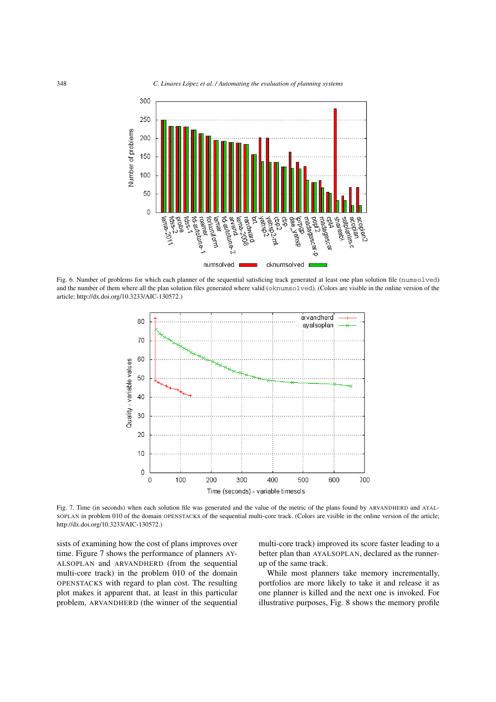

Fig. 6. Number of problems for which each planner of the sequential satisficing track generated at least one plan solution file (numsolved) and the number of them where all the plan solution files generated where valid (oknumsolved). (Colors are visible in the online version of the article; http://dx.doi.org/10.3233/AIC-130572.)



Fig. 7. Time (in seconds) when each solution file was generated and the value of the metric of the plans found by ARVANDHERD and AYAL-SOPLAN in problem 010 of the domain OPENSTACKS of the sequential multi-core track. (Colors are visible in the online version of the article; http://dx.doi.org/10.3233/AIC-130572.)

sists of examining how the cost of plans improves over time. Figure 7 shows the performance of planners AY-ALSOPLAN and ARVANDHERD (from the sequential multi-core track) in the problem 010 of the domain OPENSTACKS with regard to plan cost. The resulting plot makes it apparent that, at least in this particular problem, ARVANDHERD (the winner of the sequential multi-core track) improved its score faster leading to a better plan than AYALSOPLAN, declared as the runnerup of the same track.

While most planners take memory incrementally, portfolios are more likely to take it and release it as one planner is killed and the next one is invoked. For illustrative purposes, Fig. 8 shows the memory profile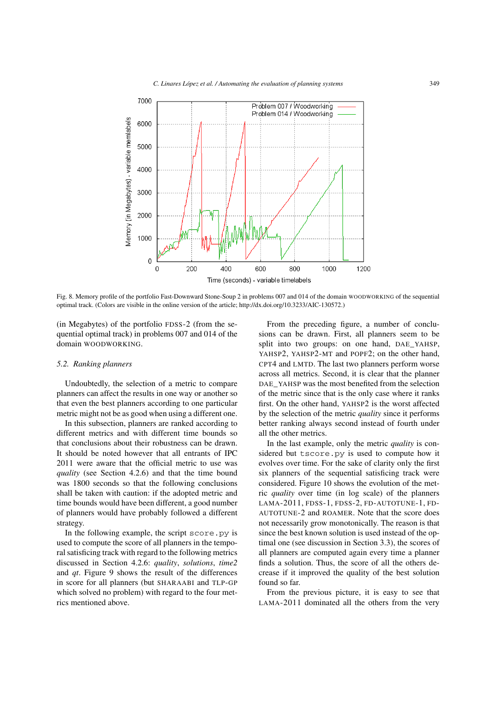

Fig. 8. Memory profile of the portfolio Fast-Downward Stone-Soup 2 in problems 007 and 014 of the domain WOODWORKING of the sequential optimal track. (Colors are visible in the online version of the article; http://dx.doi.org/10.3233/AIC-130572.)

(in Megabytes) of the portfolio FDSS-2 (from the sequential optimal track) in problems 007 and 014 of the domain WOODWORKING.

## *5.2. Ranking planners*

Undoubtedly, the selection of a metric to compare planners can affect the results in one way or another so that even the best planners according to one particular metric might not be as good when using a different one.

In this subsection, planners are ranked according to different metrics and with different time bounds so that conclusions about their robustness can be drawn. It should be noted however that all entrants of IPC 2011 were aware that the official metric to use was *quality* (see Section 4.2.6) and that the time bound was 1800 seconds so that the following conclusions shall be taken with caution: if the adopted metric and time bounds would have been different, a good number of planners would have probably followed a different strategy.

In the following example, the script score.py is used to compute the score of all planners in the temporal satisficing track with regard to the following metrics discussed in Section 4.2.6: *quality*, *solutions*, *time2* and *qt*. Figure 9 shows the result of the differences in score for all planners (but SHARAABI and TLP-GP which solved no problem) with regard to the four metrics mentioned above.

From the preceding figure, a number of conclusions can be drawn. First, all planners seem to be split into two groups: on one hand, DAE\_YAHSP, YAHSP2, YAHSP2-MT and POPF2; on the other hand, CPT4 and LMTD. The last two planners perform worse across all metrics. Second, it is clear that the planner DAE\_YAHSP was the most benefited from the selection of the metric since that is the only case where it ranks first. On the other hand, YAHSP2 is the worst affected by the selection of the metric *quality* since it performs better ranking always second instead of fourth under all the other metrics.

In the last example, only the metric *quality* is considered but tscore.py is used to compute how it evolves over time. For the sake of clarity only the first six planners of the sequential satisficing track were considered. Figure 10 shows the evolution of the metric *quality* over time (in log scale) of the planners LAMA-2011, FDSS-1, FDSS-2, FD-AUTOTUNE-1, FD-AUTOTUNE-2 and ROAMER. Note that the score does not necessarily grow monotonically. The reason is that since the best known solution is used instead of the optimal one (see discussion in Section 3.3), the scores of all planners are computed again every time a planner finds a solution. Thus, the score of all the others decrease if it improved the quality of the best solution found so far.

From the previous picture, it is easy to see that LAMA-2011 dominated all the others from the very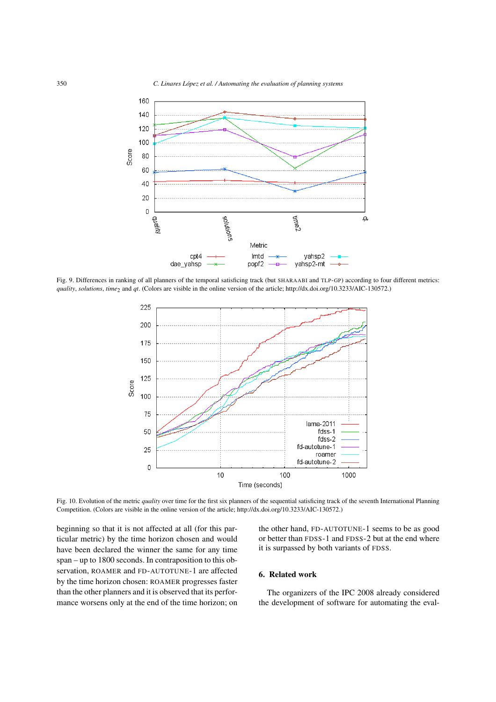

Fig. 9. Differences in ranking of all planners of the temporal satisficing track (but SHARAABI and TLP-GP) according to four different metrics: *quality*, *solutions*, *time*<sub>2</sub> and *qt*. (Colors are visible in the online version of the article; http://dx.doi.org/10.3233/AIC-130572.)



Fig. 10. Evolution of the metric *quality* over time for the first six planners of the sequential satisficing track of the seventh International Planning Competition. (Colors are visible in the online version of the article; http://dx.doi.org/10.3233/AIC-130572.)

beginning so that it is not affected at all (for this particular metric) by the time horizon chosen and would have been declared the winner the same for any time span – up to 1800 seconds. In contraposition to this observation, ROAMER and FD-AUTOTUNE-1 are affected by the time horizon chosen: ROAMER progresses faster than the other planners and it is observed that its performance worsens only at the end of the time horizon; on the other hand, FD-AUTOTUNE-1 seems to be as good or better than FDSS-1 and FDSS-2 but at the end where it is surpassed by both variants of FDSS.

## **6. Related work**

The organizers of the IPC 2008 already considered the development of software for automating the eval-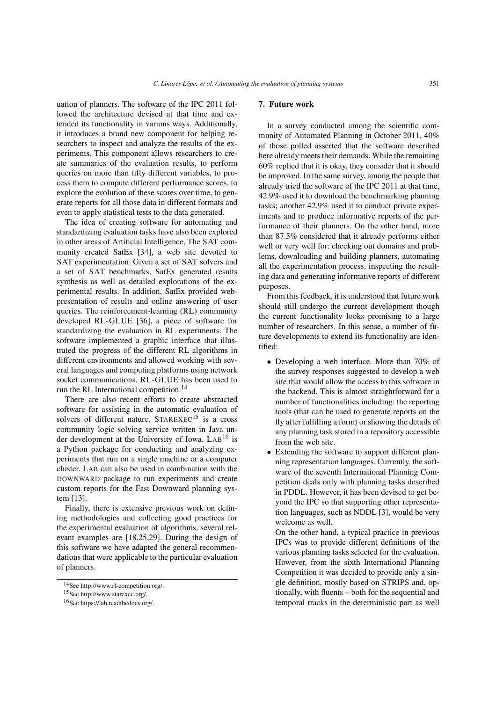uation of planners. The software of the IPC 2011 followed the architecture devised at that time and extended its functionality in various ways. Additionally, it introduces a brand new component for helping researchers to inspect and analyze the results of the experiments. This component allows researchers to create summaries of the evaluation results, to perform queries on more than fifty different variables, to process them to compute different performance scores, to explore the evolution of these scores over time, to generate reports for all those data in different formats and even to apply statistical tests to the data generated.

The idea of creating software for automating and standardizing evaluation tasks have also been explored in other areas of Artificial Intelligence. The SAT community created SatEx [34], a web site devoted to SAT experimentation. Given a set of SAT solvers and a set of SAT benchmarks, SatEx generated results synthesis as well as detailed explorations of the experimental results. In addition, SatEx provided webpresentation of results and online answering of user queries. The reinforcement-learning (RL) community developed RL-GLUE [36], a piece of software for standardizing the evaluation in RL experiments. The software implemented a graphic interface that illustrated the progress of the different RL algorithms in different environments and allowed working with several languages and computing platforms using network socket communications. RL-GLUE has been used to run the RL International competition.<sup>14</sup>

There are also recent efforts to create abstracted software for assisting in the automatic evaluation of solvers of different nature.  $STATEXEC$ <sup>15</sup> is a cross community logic solving service written in Java under development at the University of Iowa. LAB<sup>16</sup> is a Python package for conducting and analyzing experiments that run on a single machine or a computer cluster. LAB can also be used in combination with the DOWNWARD package to run experiments and create custom reports for the Fast Downward planning system [13].

Finally, there is extensive previous work on defining methodologies and collecting good practices for the experimental evaluation of algorithms, several relevant examples are [18,25,29]. During the design of this software we have adapted the general recommendations that were applicable to the particular evaluation of planners.

# **7. Future work**

In a survey conducted among the scientific community of Automated Planning in October 2011, 40% of those polled asserted that the software described here already meets their demands. While the remaining 60% replied that it is okay, they consider that it should be improved. In the same survey, among the people that already tried the software of the IPC 2011 at that time, 42.9% used it to download the benchmarking planning tasks; another 42.9% used it to conduct private experiments and to produce informative reports of the performance of their planners. On the other hand, more than 87.5% considered that it already performs either well or very well for: checking out domains and problems, downloading and building planners, automating all the experimentation process, inspecting the resulting data and generating informative reports of different purposes.

From this feedback, it is understood that future work should still undergo the current development though the current functionality looks promising to a large number of researchers. In this sense, a number of future developments to extend its functionality are identified:

- Developing a web interface. More than 70% of the survey responses suggested to develop a web site that would allow the access to this software in the backend. This is almost straightforward for a number of functionalities including: the reporting tools (that can be used to generate reports on the fly after fulfilling a form) or showing the details of any planning task stored in a repository accessible from the web site.
- Extending the software to support different planning representation languages. Currently, the software of the seventh International Planning Competition deals only with planning tasks described in PDDL. However, it has been devised to get beyond the IPC so that supporting other representation languages, such as NDDL [3], would be very welcome as well.

On the other hand, a typical practice in previous IPCs was to provide different definitions of the various planning tasks selected for the evaluation. However, from the sixth International Planning Competition it was decided to provide only a single definition, mostly based on STRIPS and, optionally, with fluents – both for the sequential and temporal tracks in the deterministic part as well

<sup>14</sup>See http://www.rl-competition.org/.

<sup>15</sup>See http://www.starexec.org/.

<sup>16</sup>See https://lab.readthedocs.org/.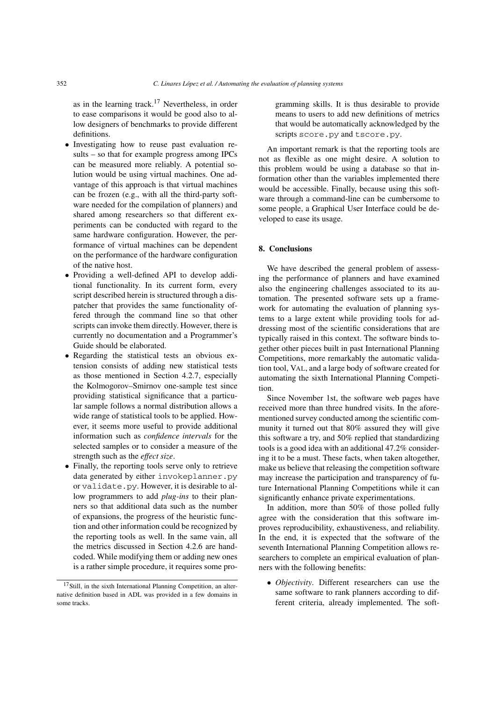as in the learning track.17 Nevertheless, in order to ease comparisons it would be good also to allow designers of benchmarks to provide different definitions.

- Investigating how to reuse past evaluation results – so that for example progress among IPCs can be measured more reliably. A potential solution would be using virtual machines. One advantage of this approach is that virtual machines can be frozen (e.g., with all the third-party software needed for the compilation of planners) and shared among researchers so that different experiments can be conducted with regard to the same hardware configuration. However, the performance of virtual machines can be dependent on the performance of the hardware configuration of the native host.
- Providing a well-defined API to develop additional functionality. In its current form, every script described herein is structured through a dispatcher that provides the same functionality offered through the command line so that other scripts can invoke them directly. However, there is currently no documentation and a Programmer's Guide should be elaborated.
- Regarding the statistical tests an obvious extension consists of adding new statistical tests as those mentioned in Section 4.2.7, especially the Kolmogorov–Smirnov one-sample test since providing statistical significance that a particular sample follows a normal distribution allows a wide range of statistical tools to be applied. However, it seems more useful to provide additional information such as *confidence intervals* for the selected samples or to consider a measure of the strength such as the *effect size*.
- Finally, the reporting tools serve only to retrieve data generated by either invokeplanner.py or validate.py. However, it is desirable to allow programmers to add *plug-ins* to their planners so that additional data such as the number of expansions, the progress of the heuristic function and other information could be recognized by the reporting tools as well. In the same vain, all the metrics discussed in Section 4.2.6 are handcoded. While modifying them or adding new ones is a rather simple procedure, it requires some pro-

gramming skills. It is thus desirable to provide means to users to add new definitions of metrics that would be automatically acknowledged by the scripts score.py and tscore.py.

An important remark is that the reporting tools are not as flexible as one might desire. A solution to this problem would be using a database so that information other than the variables implemented there would be accessible. Finally, because using this software through a command-line can be cumbersome to some people, a Graphical User Interface could be developed to ease its usage.

# **8. Conclusions**

We have described the general problem of assessing the performance of planners and have examined also the engineering challenges associated to its automation. The presented software sets up a framework for automating the evaluation of planning systems to a large extent while providing tools for addressing most of the scientific considerations that are typically raised in this context. The software binds together other pieces built in past International Planning Competitions, more remarkably the automatic validation tool, VAL, and a large body of software created for automating the sixth International Planning Competition.

Since November 1st, the software web pages have received more than three hundred visits. In the aforementioned survey conducted among the scientific community it turned out that 80% assured they will give this software a try, and 50% replied that standardizing tools is a good idea with an additional 47.2% considering it to be a must. These facts, when taken altogether, make us believe that releasing the competition software may increase the participation and transparency of future International Planning Competitions while it can significantly enhance private experimentations.

In addition, more than 50% of those polled fully agree with the consideration that this software improves reproducibility, exhaustiveness, and reliability. In the end, it is expected that the software of the seventh International Planning Competition allows researchers to complete an empirical evaluation of planners with the following benefits:

• *Objectivity*. Different researchers can use the same software to rank planners according to different criteria, already implemented. The soft-

<sup>17</sup>Still, in the sixth International Planning Competition, an alternative definition based in ADL was provided in a few domains in some tracks.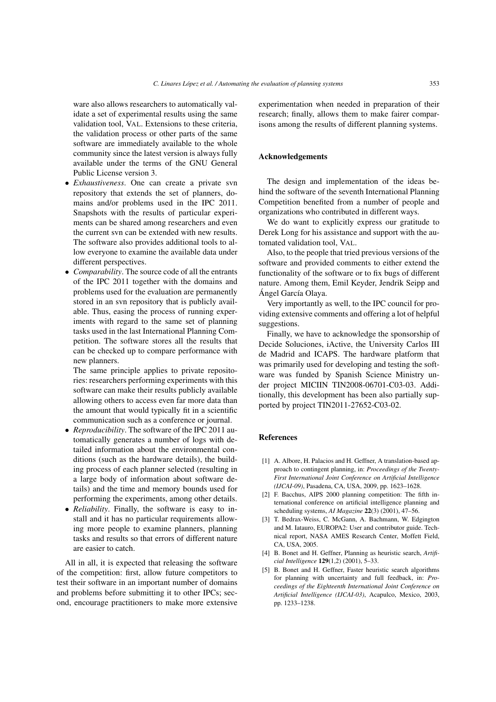ware also allows researchers to automatically validate a set of experimental results using the same validation tool, VAL. Extensions to these criteria, the validation process or other parts of the same software are immediately available to the whole community since the latest version is always fully available under the terms of the GNU General Public License version 3.

- *Exhaustiveness*. One can create a private svn repository that extends the set of planners, domains and/or problems used in the IPC 2011. Snapshots with the results of particular experiments can be shared among researchers and even the current svn can be extended with new results. The software also provides additional tools to allow everyone to examine the available data under different perspectives.
- *Comparability*. The source code of all the entrants of the IPC 2011 together with the domains and problems used for the evaluation are permanently stored in an svn repository that is publicly available. Thus, easing the process of running experiments with regard to the same set of planning tasks used in the last International Planning Competition. The software stores all the results that can be checked up to compare performance with new planners.

The same principle applies to private repositories: researchers performing experiments with this software can make their results publicly available allowing others to access even far more data than the amount that would typically fit in a scientific communication such as a conference or journal.

- *Reproducibility*. The software of the IPC 2011 automatically generates a number of logs with detailed information about the environmental conditions (such as the hardware details), the building process of each planner selected (resulting in a large body of information about software details) and the time and memory bounds used for performing the experiments, among other details.
- *Reliability*. Finally, the software is easy to install and it has no particular requirements allowing more people to examine planners, planning tasks and results so that errors of different nature are easier to catch.

All in all, it is expected that releasing the software of the competition: first, allow future competitors to test their software in an important number of domains and problems before submitting it to other IPCs; second, encourage practitioners to make more extensive

experimentation when needed in preparation of their research; finally, allows them to make fairer comparisons among the results of different planning systems.

# **Acknowledgements**

The design and implementation of the ideas behind the software of the seventh International Planning Competition benefited from a number of people and organizations who contributed in different ways.

We do want to explicitly express our gratitude to Derek Long for his assistance and support with the automated validation tool, VAL.

Also, to the people that tried previous versions of the software and provided comments to either extend the functionality of the software or to fix bugs of different nature. Among them, Emil Keyder, Jendrik Seipp and Ángel García Olaya.

Very importantly as well, to the IPC council for providing extensive comments and offering a lot of helpful suggestions.

Finally, we have to acknowledge the sponsorship of Decide Soluciones, iActive, the University Carlos III de Madrid and ICAPS. The hardware platform that was primarily used for developing and testing the software was funded by Spanish Science Ministry under project MICIIN TIN2008-06701-C03-03. Additionally, this development has been also partially supported by project TIN2011-27652-C03-02.

# **References**

- [1] A. Albore, H. Palacios and H. Geffner, A translation-based approach to contingent planning, in: *Proceedings of the Twenty-First International Joint Conference on Artificial Intelligence (IJCAI-09)*, Pasadena, CA, USA, 2009, pp. 1623–1628.
- [2] F. Bacchus, AIPS 2000 planning competition: The fifth international conference on artificial intelligence planning and scheduling systems, *AI Magazine* **22**(3) (2001), 47–56.
- [3] T. Bedrax-Weiss, C. McGann, A. Bachmann, W. Edgington and M. Iatauro, EUROPA2: User and contributor guide. Technical report, NASA AMES Research Center, Moffett Field, CA, USA, 2005.
- [4] B. Bonet and H. Geffner, Planning as heuristic search, *Artificial Intelligence* **129**(1,2) (2001), 5–33.
- [5] B. Bonet and H. Geffner, Faster heuristic search algorithms for planning with uncertainty and full feedback, in: *Proceedings of the Eighteenth International Joint Conference on Artificial Intelligence (IJCAI-03)*, Acapulco, Mexico, 2003, pp. 1233–1238.